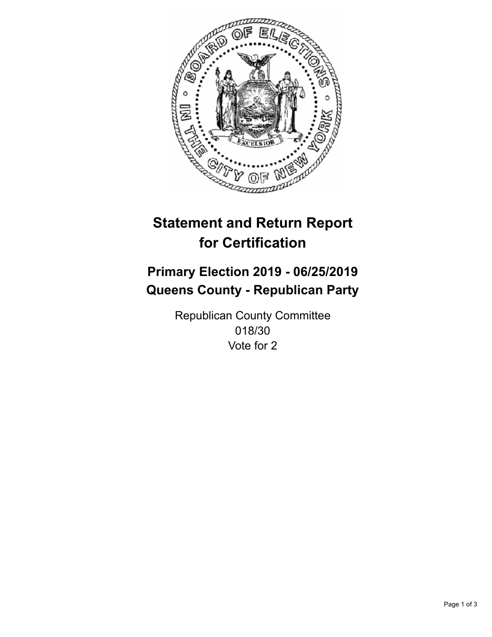

## **Statement and Return Report for Certification**

## **Primary Election 2019 - 06/25/2019 Queens County - Republican Party**

Republican County Committee 018/30 Vote for 2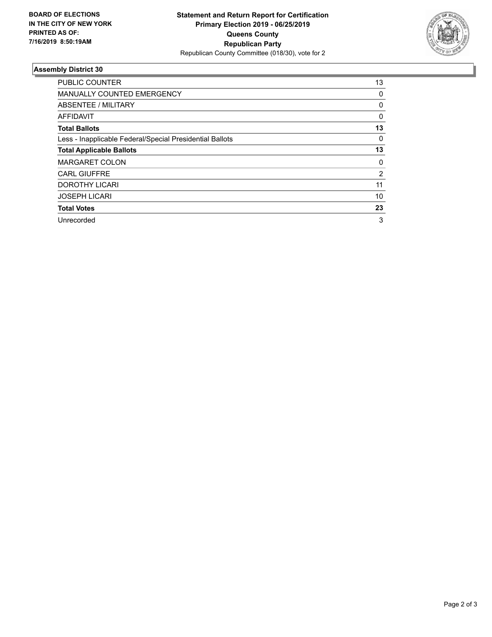

## **Assembly District 30**

| <b>PUBLIC COUNTER</b>                                    | 13       |
|----------------------------------------------------------|----------|
| <b>MANUALLY COUNTED EMERGENCY</b>                        | 0        |
| ABSENTEE / MILITARY                                      | 0        |
| AFFIDAVIT                                                | $\Omega$ |
| <b>Total Ballots</b>                                     | 13       |
| Less - Inapplicable Federal/Special Presidential Ballots | 0        |
| <b>Total Applicable Ballots</b>                          | 13       |
| <b>MARGARET COLON</b>                                    | 0        |
| <b>CARL GIUFFRE</b>                                      | 2        |
| DOROTHY LICARI                                           | 11       |
| <b>JOSEPH LICARI</b>                                     | 10       |
| <b>Total Votes</b>                                       | 23       |
| Unrecorded                                               | 3        |